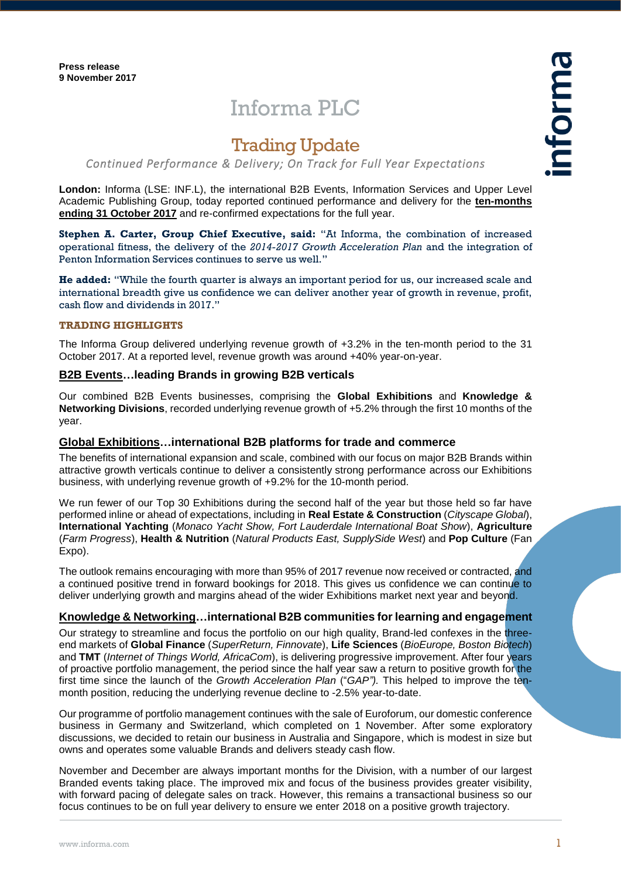# Informa PLC

# Trading Update

# *Continued Performance & Delivery; On Track for Full Year Expectations*

**London:** Informa (LSE: INF.L), the international B2B Events, Information Services and Upper Level Academic Publishing Group, today reported continued performance and delivery for the **ten-months ending 31 October 2017** and re-confirmed expectations for the full year.

**Stephen A. Carter, Group Chief Executive, said:** "At Informa, the combination of increased operational fitness, the delivery of the *2014-2017 Growth Acceleration Plan* and the integration of Penton Information Services continues to serve us well."

**He added:** "While the fourth quarter is always an important period for us, our increased scale and international breadth give us confidence we can deliver another year of growth in revenue, profit, cash flow and dividends in 2017."

## **TRADING HIGHLIGHTS**

The Informa Group delivered underlying revenue growth of +3.2% in the ten-month period to the 31 October 2017. At a reported level, revenue growth was around +40% year-on-year.

# **B2B Events…leading Brands in growing B2B verticals**

Our combined B2B Events businesses, comprising the **Global Exhibitions** and **Knowledge & Networking Divisions**, recorded underlying revenue growth of +5.2% through the first 10 months of the year.

# **Global Exhibitions…international B2B platforms for trade and commerce**

The benefits of international expansion and scale, combined with our focus on major B2B Brands within attractive growth verticals continue to deliver a consistently strong performance across our Exhibitions business, with underlying revenue growth of +9.2% for the 10-month period.

We run fewer of our Top 30 Exhibitions during the second half of the year but those held so far have performed inline or ahead of expectations, including in **Real Estate & Construction** (*Cityscape Global*), **International Yachting** (*Monaco Yacht Show, Fort Lauderdale International Boat Show*), **Agriculture** (*Farm Progress*), **Health & Nutrition** (*Natural Products East, SupplySide West*) and **Pop Culture** (Fan Expo).

The outlook remains encouraging with more than 95% of 2017 revenue now received or contracted, and a continued positive trend in forward bookings for 2018. This gives us confidence we can continue to deliver underlying growth and margins ahead of the wider Exhibitions market next year and beyond.

# **Knowledge & Networking…international B2B communities for learning and engagement**

Our strategy to streamline and focus the portfolio on our high quality. Brand-led confexes in the threeend markets of **Global Finance** (*SuperReturn, Finnovate*), **Life Sciences** (*BioEurope, Boston Biotech*) and **TMT** (*Internet of Things World, AfricaCom*), is delivering progressive improvement. After four years of proactive portfolio management, the period since the half year saw a return to positive growth for the first time since the launch of the *Growth Acceleration Plan* ("*GAP").* This helped to improve the tenmonth position, reducing the underlying revenue decline to -2.5% year-to-date.

Our programme of portfolio management continues with the sale of Euroforum, our domestic conference business in Germany and Switzerland, which completed on 1 November. After some exploratory discussions, we decided to retain our business in Australia and Singapore, which is modest in size but owns and operates some valuable Brands and delivers steady cash flow.

November and December are always important months for the Division, with a number of our largest Branded events taking place. The improved mix and focus of the business provides greater visibility, with forward pacing of delegate sales on track. However, this remains a transactional business so our focus continues to be on full year delivery to ensure we enter 2018 on a positive growth trajectory.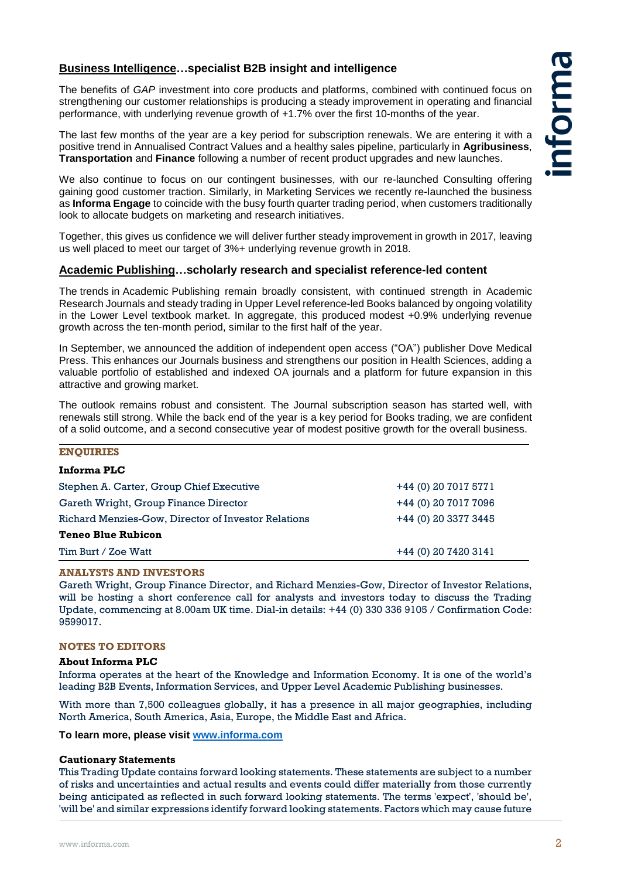# **Business Intelligence…specialist B2B insight and intelligence**

The benefits of *GAP* investment into core products and platforms, combined with continued focus on strengthening our customer relationships is producing a steady improvement in operating and financial performance, with underlying revenue growth of +1.7% over the first 10-months of the year.

The last few months of the year are a key period for subscription renewals. We are entering it with a positive trend in Annualised Contract Values and a healthy sales pipeline, particularly in **Agribusiness**, **Transportation** and **Finance** following a number of recent product upgrades and new launches.

We also continue to focus on our contingent businesses, with our re-launched Consulting offering gaining good customer traction. Similarly, in Marketing Services we recently re-launched the business as **Informa Engage** to coincide with the busy fourth quarter trading period, when customers traditionally look to allocate budgets on marketing and research initiatives.

Together, this gives us confidence we will deliver further steady improvement in growth in 2017, leaving us well placed to meet our target of 3%+ underlying revenue growth in 2018.

## **Academic Publishing…scholarly research and specialist reference-led content**

The trends in Academic Publishing remain broadly consistent, with continued strength in Academic Research Journals and steady trading in Upper Level reference-led Books balanced by ongoing volatility in the Lower Level textbook market. In aggregate, this produced modest +0.9% underlying revenue growth across the ten-month period, similar to the first half of the year.

In September, we announced the addition of independent open access ("OA") publisher Dove Medical Press. This enhances our Journals business and strengthens our position in Health Sciences, adding a valuable portfolio of established and indexed OA journals and a platform for future expansion in this attractive and growing market.

The outlook remains robust and consistent. The Journal subscription season has started well, with renewals still strong. While the back end of the year is a key period for Books trading, we are confident of a solid outcome, and a second consecutive year of modest positive growth for the overall business.

# **ENQUIRIES**

| Informa PLC                                         |                      |
|-----------------------------------------------------|----------------------|
| Stephen A. Carter, Group Chief Executive            | +44 (0) 20 7017 5771 |
| Gareth Wright, Group Finance Director               | +44 (0) 20 7017 7096 |
| Richard Menzies-Gow, Director of Investor Relations | +44 (0) 20 3377 3445 |
| <b>Teneo Blue Rubicon</b>                           |                      |
| Tim Burt / Zoe Watt                                 | +44 (0) 20 7420 3141 |

#### **ANALYSTS AND INVESTORS**

Gareth Wright, Group Finance Director, and Richard Menzies-Gow, Director of Investor Relations, will be hosting a short conference call for analysts and investors today to discuss the Trading Update, commencing at 8.00am UK time. Dial-in details: +44 (0) 330 336 9105 / Confirmation Code: 9599017.

#### **NOTES TO EDITORS**

#### **About Informa PLC**

Informa operates at the heart of the Knowledge and Information Economy. It is one of the world's leading B2B Events, Information Services, and Upper Level Academic Publishing businesses.

With more than 7,500 colleagues globally, it has a presence in all major geographies, including North America, South America, Asia, Europe, the Middle East and Africa.

**To learn more, please visit [www.informa.com](http://www.informa.com/)**

#### **Cautionary Statements**

This Trading Update contains forward looking statements. These statements are subject to a number of risks and uncertainties and actual results and events could differ materially from those currently being anticipated as reflected in such forward looking statements. The terms 'expect', 'should be', 'will be' and similar expressions identify forward looking statements. Factors which may cause future